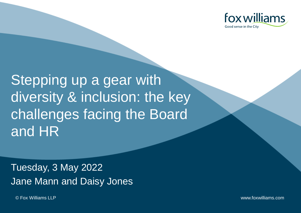

Stepping up a gear with diversity & inclusion: the key challenges facing the Board and HR

Tuesday, 3 May 2022 Jane Mann and Daisy Jones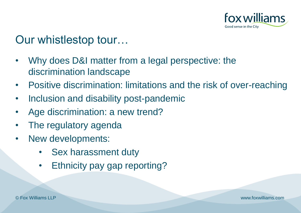

#### Our whistlestop tour…

- Why does D&I matter from a legal perspective: the discrimination landscape
- Positive discrimination: limitations and the risk of over-reaching
- Inclusion and disability post-pandemic
- Age discrimination: a new trend?
- The regulatory agenda
- New developments:
	- Sex harassment duty
	- Ethnicity pay gap reporting?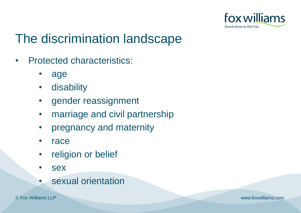

# The discrimination landscape

- Protected characteristics:
	- age
	- disability
	- gender reassignment
	- marriage and civil partnership
	- pregnancy and maternity
	- **race**
	- religion or belief
	- sex
	- sexual orientation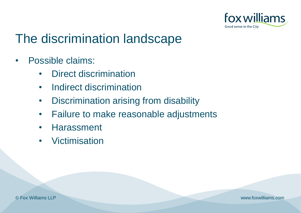

# The discrimination landscape

- Possible claims:
	- Direct discrimination
	- Indirect discrimination
	- Discrimination arising from disability
	- Failure to make reasonable adjustments
	- Harassment
	- Victimisation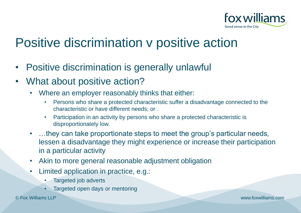

# Positive discrimination v positive action

- Positive discrimination is generally unlawful
- What about positive action?
	- Where an employer reasonably thinks that either:
		- Persons who share a protected characteristic suffer a disadvantage connected to the characteristic or have different needs; or .
		- Participation in an activity by persons who share a protected characteristic is disproportionately low.
	- ...they can take proportionate steps to meet the group's particular needs, lessen a disadvantage they might experience or increase their participation in a particular activity
	- Akin to more general reasonable adjustment obligation
	- Limited application in practice, e.g.:
		- Targeted job adverts
		- Targeted open days or mentoring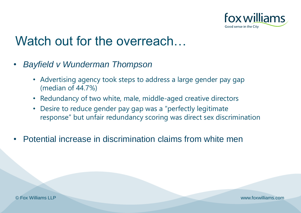

#### Watch out for the overreach…

- *Bayfield v Wunderman Thompson*
	- Advertising agency took steps to address a large gender pay gap (median of 44.7%)
	- Redundancy of two white, male, middle-aged creative directors
	- Desire to reduce gender pay gap was a "perfectly legitimate response" but unfair redundancy scoring was direct sex discrimination
- Potential increase in discrimination claims from white men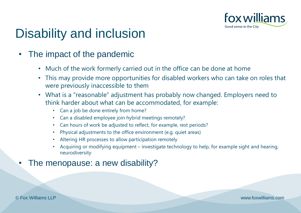

# Disability and inclusion

#### The impact of the pandemic

- Much of the work formerly carried out in the office can be done at home
- This may provide more opportunities for disabled workers who can take on roles that were previously inaccessible to them
- What is a "reasonable" adjustment has probably now changed. Employers need to think harder about what can be accommodated, for example:
	- Can a job be done entirely from home?
	- Can a disabled employee join hybrid meetings remotely?
	- Can hours of work be adjusted to reflect, for example, rest periods?
	- Physical adjustments to the office environment (e.g. quiet areas)
	- Altering HR processes to allow participation remotely
	- Acquiring or modifying equipment investigate technology to help, for example sight and hearing, neurodiversity

#### The menopause: a new disability?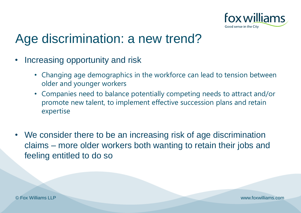

#### Age discrimination: a new trend?

- Increasing opportunity and risk
	- Changing age demographics in the workforce can lead to tension between older and younger workers
	- Companies need to balance potentially competing needs to attract and/or promote new talent, to implement effective succession plans and retain expertise
- We consider there to be an increasing risk of age discrimination claims – more older workers both wanting to retain their jobs and feeling entitled to do so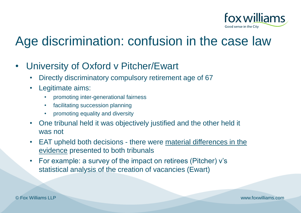

# Age discrimination: confusion in the case law

- University of Oxford v Pitcher/Ewart
	- Directly discriminatory compulsory retirement age of 67
	- Legitimate aims:
		- promoting inter-generational fairness
		- facilitating succession planning
		- promoting equality and diversity
	- One tribunal held it was objectively justified and the other held it was not
	- EAT upheld both decisions there were material differences in the evidence presented to both tribunals
	- For example: a survey of the impact on retirees (Pitcher) v's statistical analysis of the creation of vacancies (Ewart)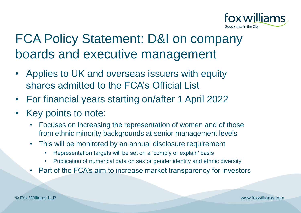

# FCA Policy Statement: D&I on company boards and executive management

- Applies to UK and overseas issuers with equity shares admitted to the FCA's Official List
- For financial years starting on/after 1 April 2022
- Key points to note:
	- Focuses on increasing the representation of women and of those from ethnic minority backgrounds at senior management levels
	- This will be monitored by an annual disclosure requirement
		- Representation targets will be set on a 'comply or explain' basis
		- Publication of numerical data on sex or gender identity and ethnic diversity
	- Part of the FCA's aim to increase market transparency for investors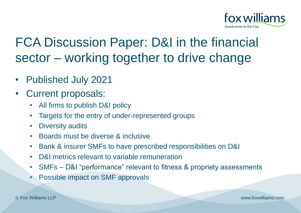

# FCA Discussion Paper: D&I in the financial sector – working together to drive change

- Published July 2021
- Current proposals:
	- All firms to publish D&I policy
	- Targets for the entry of under-represented groups
	- Diversity audits
	- Boards must be diverse & inclusive
	- Bank & insurer SMFs to have prescribed responsibilities on D&I
	- D&I metrics relevant to variable remuneration
	- SMFs D&I "performance" relevant to fitness & propriety assessments
	- Possible impact on SMF approvals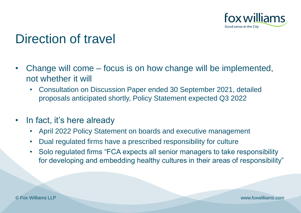

## Direction of travel

- Change will come focus is on how change will be implemented, not whether it will
	- Consultation on Discussion Paper ended 30 September 2021, detailed proposals anticipated shortly, Policy Statement expected Q3 2022
- In fact, it's here already
	- April 2022 Policy Statement on boards and executive management
	- Dual regulated firms have a prescribed responsibility for culture
	- Solo regulated firms "FCA expects all senior managers to take responsibility for developing and embedding healthy cultures in their areas of responsibility"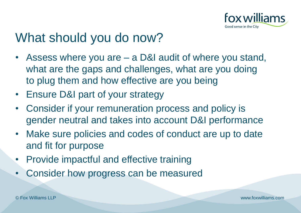

#### What should you do now?

- Assess where you are a D&I audit of where you stand, what are the gaps and challenges, what are you doing to plug them and how effective are you being
- Ensure D&I part of your strategy
- Consider if your remuneration process and policy is gender neutral and takes into account D&I performance
- Make sure policies and codes of conduct are up to date and fit for purpose
- Provide impactful and effective training
- Consider how progress can be measured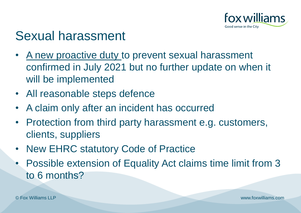

#### Sexual harassment

- A new proactive duty to prevent sexual harassment confirmed in July 2021 but no further update on when it will be implemented
- All reasonable steps defence
- A claim only after an incident has occurred
- Protection from third party harassment e.g. customers, clients, suppliers
- **New EHRC statutory Code of Practice**
- Possible extension of Equality Act claims time limit from 3 to 6 months?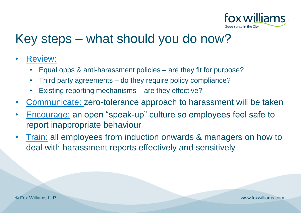

#### Key steps – what should you do now?

- Review:
	- Equal opps & anti-harassment policies are they fit for purpose?
	- Third party agreements do they require policy compliance?
	- Existing reporting mechanisms are they effective?
- Communicate: zero-tolerance approach to harassment will be taken
- Encourage: an open "speak-up" culture so employees feel safe to report inappropriate behaviour
- **Train: all employees from induction onwards & managers on how to** deal with harassment reports effectively and sensitively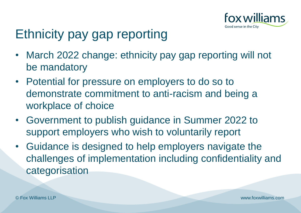

# Ethnicity pay gap reporting

- March 2022 change: ethnicity pay gap reporting will not be mandatory
- Potential for pressure on employers to do so to demonstrate commitment to anti-racism and being a workplace of choice
- Government to publish guidance in Summer 2022 to support employers who wish to voluntarily report
- Guidance is designed to help employers navigate the challenges of implementation including confidentiality and categorisation